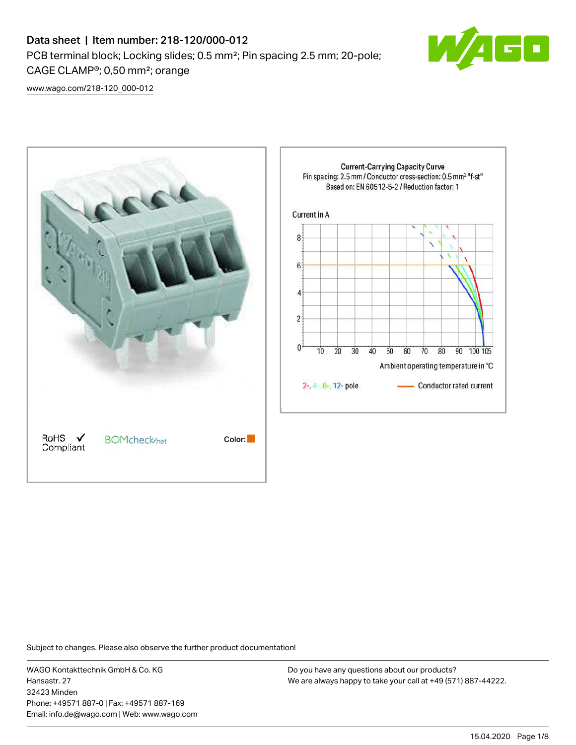# Data sheet | Item number: 218-120/000-012 PCB terminal block; Locking slides; 0.5 mm²; Pin spacing 2.5 mm; 20-pole; CAGE CLAMP®; 0,50 mm²; orange



[www.wago.com/218-120\\_000-012](http://www.wago.com/218-120_000-012)



Subject to changes. Please also observe the further product documentation!

WAGO Kontakttechnik GmbH & Co. KG Hansastr. 27 32423 Minden Phone: +49571 887-0 | Fax: +49571 887-169 Email: info.de@wago.com | Web: www.wago.com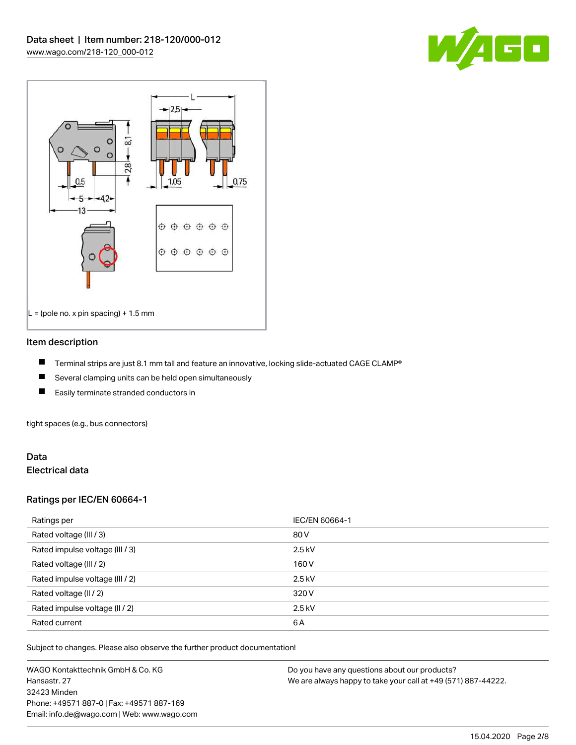



#### Item description

- П Terminal strips are just 8.1 mm tall and feature an innovative, locking slide-actuated CAGE CLAMP®
- $\blacksquare$ Several clamping units can be held open simultaneously
- П Easily terminate stranded conductors in

tight spaces (e.g., bus connectors)

#### Data Electrical data

### Ratings per IEC/EN 60664-1

| Ratings per                     | IEC/EN 60664-1 |
|---------------------------------|----------------|
| Rated voltage (III / 3)         | 80 V           |
| Rated impulse voltage (III / 3) | $2.5$ kV       |
| Rated voltage (III / 2)         | 160 V          |
| Rated impulse voltage (III / 2) | $2.5$ kV       |
| Rated voltage (II / 2)          | 320 V          |
| Rated impulse voltage (II / 2)  | $2.5$ kV       |
| Rated current                   | 6A             |

Subject to changes. Please also observe the further product documentation!

WAGO Kontakttechnik GmbH & Co. KG Hansastr. 27 32423 Minden Phone: +49571 887-0 | Fax: +49571 887-169 Email: info.de@wago.com | Web: www.wago.com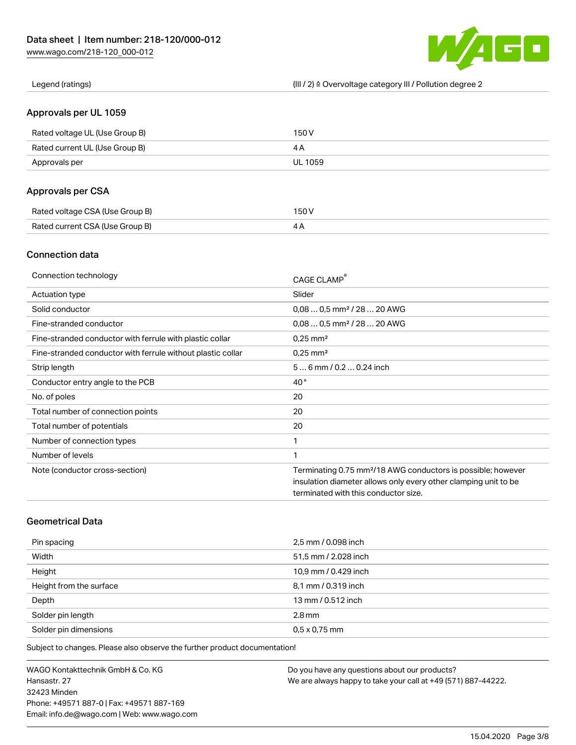

Legend (ratings) (III / 2) ≙ Overvoltage category III / Pollution degree 2

### Approvals per UL 1059

| Rated voltage UL (Use Group B) | 150 V          |
|--------------------------------|----------------|
| Rated current UL (Use Group B) |                |
| Approvals per                  | <b>UL 1059</b> |

## Approvals per CSA

| Rated voltage CSA (Use Group B) | 150 V |
|---------------------------------|-------|
| Rated current CSA (Use Group B) |       |

## Connection data

| Connection technology                                       | CAGE CLAMP®                                                              |
|-------------------------------------------------------------|--------------------------------------------------------------------------|
| Actuation type                                              | Slider                                                                   |
| Solid conductor                                             | $0.080.5$ mm <sup>2</sup> / 28  20 AWG                                   |
| Fine-stranded conductor                                     | $0.080.5$ mm <sup>2</sup> / 28  20 AWG                                   |
| Fine-stranded conductor with ferrule with plastic collar    | $0.25$ mm <sup>2</sup>                                                   |
| Fine-stranded conductor with ferrule without plastic collar | $0.25$ mm <sup>2</sup>                                                   |
| Strip length                                                | $56$ mm $/ 0.20.24$ inch                                                 |
| Conductor entry angle to the PCB                            | $40^{\circ}$                                                             |
| No. of poles                                                | 20                                                                       |
| Total number of connection points                           | 20                                                                       |
| Total number of potentials                                  | 20                                                                       |
| Number of connection types                                  | 1                                                                        |
| Number of levels                                            | 1                                                                        |
| Note (conductor cross-section)                              | Terminating 0.75 mm <sup>2</sup> /18 AWG conductors is possible; however |
|                                                             | insulation diameter allows only every other clamping unit to be          |
|                                                             | terminated with this conductor size.                                     |

# Geometrical Data

| Pin spacing             | 2,5 mm / 0.098 inch  |
|-------------------------|----------------------|
| Width                   | 51,5 mm / 2.028 inch |
| Height                  | 10,9 mm / 0.429 inch |
| Height from the surface | 8,1 mm / 0.319 inch  |
| Depth                   | 13 mm / 0.512 inch   |
| Solder pin length       | $2.8$ mm             |
| Solder pin dimensions   | $0.5 \times 0.75$ mm |

Subject to changes. Please also observe the further product documentation!

WAGO Kontakttechnik GmbH & Co. KG Hansastr. 27 32423 Minden Phone: +49571 887-0 | Fax: +49571 887-169 Email: info.de@wago.com | Web: www.wago.com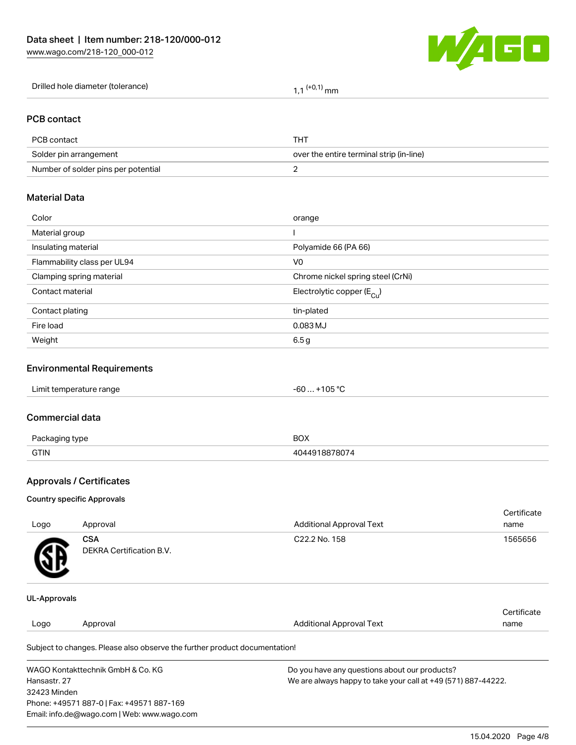

| Drilled hole diameter (tolerance) | $(+0,1)$ mm |
|-----------------------------------|-------------|
|-----------------------------------|-------------|

### PCB contact

| PCB contact                         | THT                                      |
|-------------------------------------|------------------------------------------|
| Solder pin arrangement              | over the entire terminal strip (in-line) |
| Number of solder pins per potential |                                          |

# Material Data

| Color                       | orange                                |
|-----------------------------|---------------------------------------|
| Material group              |                                       |
| Insulating material         | Polyamide 66 (PA 66)                  |
| Flammability class per UL94 | V <sub>0</sub>                        |
| Clamping spring material    | Chrome nickel spring steel (CrNi)     |
| Contact material            | Electrolytic copper $(E_{\text{Cl}})$ |
| Contact plating             | tin-plated                            |
| Fire load                   | $0.083$ MJ                            |
| Weight                      | 6.5 <sub>g</sub>                      |
|                             |                                       |

## Environmental Requirements

# Commercial data

| $D_{20}$<br>aina type | BOX |
|-----------------------|-----|
| <b>GTIN</b>           |     |

# Approvals / Certificates

#### Country specific Approvals

| Logo                | Approval                               | <b>Additional Approval Text</b> | Certificate<br>name |
|---------------------|----------------------------------------|---------------------------------|---------------------|
| <b>R</b>            | <b>CSA</b><br>DEKRA Certification B.V. | C22.2 No. 158                   | 1565656             |
| <b>UL-Approvals</b> |                                        |                                 |                     |

#### Logo Approval And American Additional Approval Text **Certificate** name

Subject to changes. Please also observe the further product documentation!

| WAGO Kontakttechnik GmbH & Co. KG           | Do you have any questions about our products?                 |
|---------------------------------------------|---------------------------------------------------------------|
| Hansastr. 27                                | We are always happy to take your call at +49 (571) 887-44222. |
| 32423 Minden                                |                                                               |
| Phone: +49571 887-0   Fax: +49571 887-169   |                                                               |
| Email: info.de@wago.com   Web: www.wago.com |                                                               |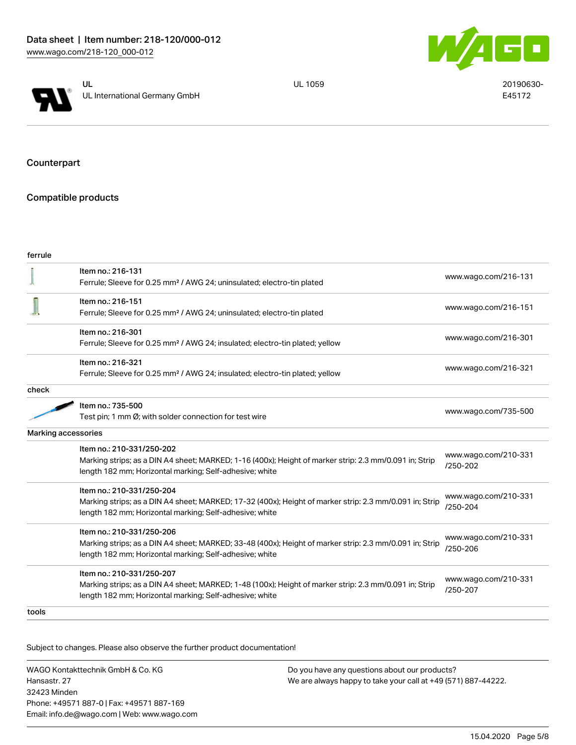



UL 1059 20190630-E45172

Counterpart

# Compatible products

| ferrule |                                                                                                                                                                                                 |                                  |
|---------|-------------------------------------------------------------------------------------------------------------------------------------------------------------------------------------------------|----------------------------------|
|         | Item no.: 216-131<br>Ferrule; Sleeve for 0.25 mm <sup>2</sup> / AWG 24; uninsulated; electro-tin plated                                                                                         | www.wago.com/216-131             |
|         | Item no.: 216-151<br>Ferrule; Sleeve for 0.25 mm <sup>2</sup> / AWG 24; uninsulated; electro-tin plated                                                                                         | www.wago.com/216-151             |
|         | Item no.: 216-301<br>Ferrule; Sleeve for 0.25 mm <sup>2</sup> / AWG 24; insulated; electro-tin plated; yellow                                                                                   | www.wago.com/216-301             |
|         | Item no.: 216-321<br>Ferrule; Sleeve for 0.25 mm <sup>2</sup> / AWG 24; insulated; electro-tin plated; yellow                                                                                   | www.wago.com/216-321             |
| check   |                                                                                                                                                                                                 |                                  |
|         | Item no.: 735-500<br>Test pin; 1 mm Ø; with solder connection for test wire                                                                                                                     | www.wago.com/735-500             |
|         | Marking accessories                                                                                                                                                                             |                                  |
|         | Item no.: 210-331/250-202<br>Marking strips; as a DIN A4 sheet; MARKED; 1-16 (400x); Height of marker strip: 2.3 mm/0.091 in; Strip<br>length 182 mm; Horizontal marking; Self-adhesive; white  | www.wago.com/210-331<br>/250-202 |
|         | Item no.: 210-331/250-204<br>Marking strips; as a DIN A4 sheet; MARKED; 17-32 (400x); Height of marker strip: 2.3 mm/0.091 in; Strip<br>length 182 mm; Horizontal marking; Self-adhesive; white | www.wago.com/210-331<br>/250-204 |
|         | Item no.: 210-331/250-206<br>Marking strips; as a DIN A4 sheet; MARKED; 33-48 (400x); Height of marker strip: 2.3 mm/0.091 in; Strip<br>length 182 mm; Horizontal marking; Self-adhesive; white | www.wago.com/210-331<br>/250-206 |
|         | Item no.: 210-331/250-207<br>Marking strips; as a DIN A4 sheet; MARKED; 1-48 (100x); Height of marker strip: 2.3 mm/0.091 in; Strip<br>length 182 mm; Horizontal marking; Self-adhesive; white  | www.wago.com/210-331<br>/250-207 |
| tools   |                                                                                                                                                                                                 |                                  |

Subject to changes. Please also observe the further product documentation!

WAGO Kontakttechnik GmbH & Co. KG Hansastr. 27 32423 Minden Phone: +49571 887-0 | Fax: +49571 887-169 Email: info.de@wago.com | Web: www.wago.com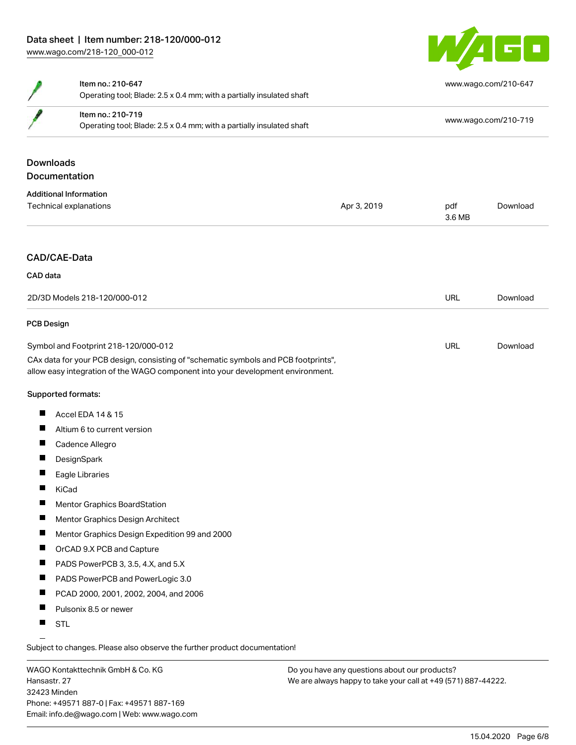

|                              | Item no.: 210-647<br>Operating tool; Blade: 2.5 x 0.4 mm; with a partially insulated shaft                                                                             |             | www.wago.com/210-647 |          |  |
|------------------------------|------------------------------------------------------------------------------------------------------------------------------------------------------------------------|-------------|----------------------|----------|--|
|                              | Item no.: 210-719<br>Operating tool; Blade: 2.5 x 0.4 mm; with a partially insulated shaft                                                                             |             | www.wago.com/210-719 |          |  |
| <b>Downloads</b>             |                                                                                                                                                                        |             |                      |          |  |
|                              | <b>Documentation</b>                                                                                                                                                   |             |                      |          |  |
|                              | <b>Additional Information</b>                                                                                                                                          |             |                      |          |  |
|                              | Technical explanations                                                                                                                                                 | Apr 3, 2019 | pdf<br>3.6 MB        | Download |  |
| CAD data                     | CAD/CAE-Data                                                                                                                                                           |             |                      |          |  |
| 2D/3D Models 218-120/000-012 |                                                                                                                                                                        | <b>URL</b>  | Download             |          |  |
| <b>PCB Design</b>            |                                                                                                                                                                        |             |                      |          |  |
|                              | Symbol and Footprint 218-120/000-012                                                                                                                                   |             | URL                  | Download |  |
|                              | CAx data for your PCB design, consisting of "schematic symbols and PCB footprints",<br>allow easy integration of the WAGO component into your development environment. |             |                      |          |  |
|                              | Supported formats:                                                                                                                                                     |             |                      |          |  |
| L                            | Accel EDA 14 & 15                                                                                                                                                      |             |                      |          |  |
| $\overline{\phantom{a}}$     | Altium 6 to current version                                                                                                                                            |             |                      |          |  |
| ш                            | Cadence Allegro                                                                                                                                                        |             |                      |          |  |
| п                            | DesignSpark                                                                                                                                                            |             |                      |          |  |
| п                            | Eagle Libraries                                                                                                                                                        |             |                      |          |  |
| ш                            | KiCad                                                                                                                                                                  |             |                      |          |  |
| ш                            | <b>Mentor Graphics BoardStation</b>                                                                                                                                    |             |                      |          |  |
|                              | Mentor Graphics Design Architect                                                                                                                                       |             |                      |          |  |
| L                            | Mentor Graphics Design Expedition 99 and 2000                                                                                                                          |             |                      |          |  |
| H.                           | OrCAD 9.X PCB and Capture                                                                                                                                              |             |                      |          |  |
| п                            | PADS PowerPCB 3, 3.5, 4.X, and 5.X                                                                                                                                     |             |                      |          |  |
| ш                            | PADS PowerPCB and PowerLogic 3.0                                                                                                                                       |             |                      |          |  |
| ш                            | PCAD 2000, 2001, 2002, 2004, and 2006                                                                                                                                  |             |                      |          |  |
| ш                            | Pulsonix 8.5 or newer                                                                                                                                                  |             |                      |          |  |
|                              |                                                                                                                                                                        |             |                      |          |  |

**STL** 

Subject to changes. Please also observe the further product documentation!

WAGO Kontakttechnik GmbH & Co. KG Hansastr. 27 32423 Minden Phone: +49571 887-0 | Fax: +49571 887-169 Email: info.de@wago.com | Web: www.wago.com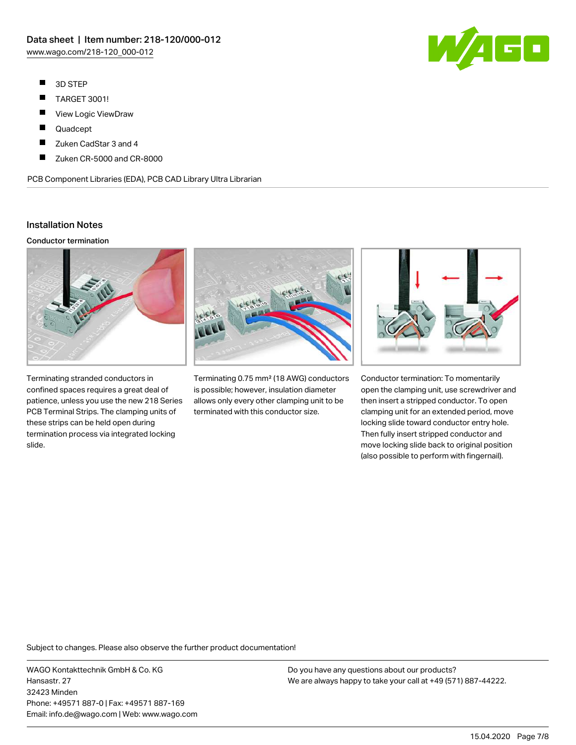- $\blacksquare$ 3D STEP
- $\blacksquare$ TARGET 3001!
- $\blacksquare$ View Logic ViewDraw
- $\blacksquare$ Quadcept
- П Zuken CadStar 3 and 4
- П Zuken CR-5000 and CR-8000

PCB Component Libraries (EDA), PCB CAD Library Ultra Librarian

## Installation Notes

#### Conductor termination



Terminating stranded conductors in confined spaces requires a great deal of patience, unless you use the new 218 Series PCB Terminal Strips. The clamping units of these strips can be held open during termination process via integrated locking slide.



Terminating 0.75 mm² (18 AWG) conductors is possible; however, insulation diameter allows only every other clamping unit to be terminated with this conductor size.



Conductor termination: To momentarily open the clamping unit, use screwdriver and then insert a stripped conductor. To open clamping unit for an extended period, move locking slide toward conductor entry hole. Then fully insert stripped conductor and move locking slide back to original position (also possible to perform with fingernail).

Subject to changes. Please also observe the further product documentation!

WAGO Kontakttechnik GmbH & Co. KG Hansastr. 27 32423 Minden Phone: +49571 887-0 | Fax: +49571 887-169 Email: info.de@wago.com | Web: www.wago.com